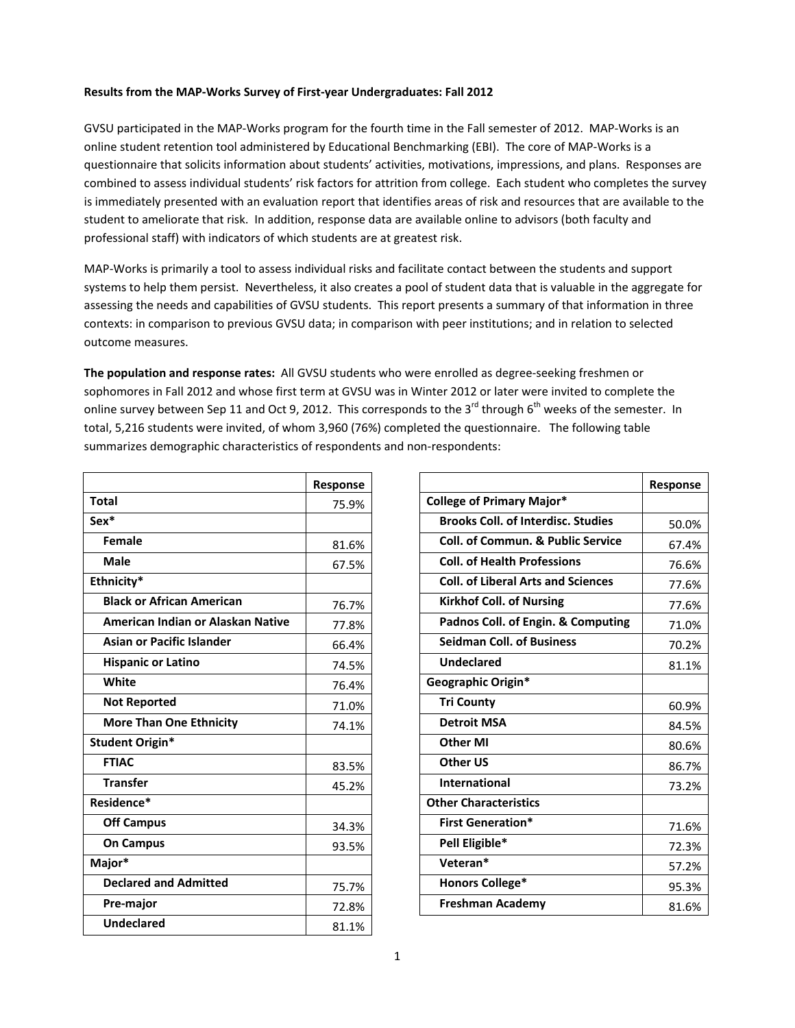## **Results from the MAP‐Works Survey of First‐year Undergraduates: Fall 2012**

GVSU participated in the MAP‐Works program for the fourth time in the Fall semester of 2012. MAP‐Works is an online student retention tool administered by Educational Benchmarking (EBI). The core of MAP‐Works is a questionnaire that solicits information about students' activities, motivations, impressions, and plans. Responses are combined to assess individual students' risk factors for attrition from college. Each student who completes the survey is immediately presented with an evaluation report that identifies areas of risk and resources that are available to the student to ameliorate that risk. In addition, response data are available online to advisors (both faculty and professional staff) with indicators of which students are at greatest risk.

MAP‐Works is primarily a tool to assess individual risks and facilitate contact between the students and support systems to help them persist. Nevertheless, it also creates a pool of student data that is valuable in the aggregate for assessing the needs and capabilities of GVSU students. This report presents a summary of that information in three contexts: in comparison to previous GVSU data; in comparison with peer institutions; and in relation to selected outcome measures.

**The population and response rates:** All GVSU students who were enrolled as degree‐seeking freshmen or sophomores in Fall 2012 and whose first term at GVSU was in Winter 2012 or later were invited to complete the online survey between Sep 11 and Oct 9, 2012. This corresponds to the 3<sup>rd</sup> through 6<sup>th</sup> weeks of the semester. In total, 5,216 students were invited, of whom 3,960 (76%) completed the questionnaire. The following table summarizes demographic characteristics of respondents and non-respondents:

|                                   | Response |
|-----------------------------------|----------|
| <b>Total</b>                      | 75.9%    |
| Sex*                              |          |
| Female                            | 81.6%    |
| Male                              | 67.5%    |
| Ethnicity*                        |          |
| <b>Black or African American</b>  | 76.7%    |
| American Indian or Alaskan Native | 77.8%    |
| <b>Asian or Pacific Islander</b>  | 66.4%    |
| <b>Hispanic or Latino</b>         | 74.5%    |
| White                             | 76.4%    |
| <b>Not Reported</b>               | 71.0%    |
| <b>More Than One Ethnicity</b>    | 74.1%    |
| <b>Student Origin*</b>            |          |
| <b>FTIAC</b>                      | 83.5%    |
| <b>Transfer</b>                   | 45.2%    |
| Residence*                        |          |
| <b>Off Campus</b>                 | 34.3%    |
| <b>On Campus</b>                  | 93.5%    |
| Major*                            |          |
| <b>Declared and Admitted</b>      | 75.7%    |
| Pre-major                         | 72.8%    |
| <b>Undeclared</b>                 | 81.1%    |

|                                              | Response |
|----------------------------------------------|----------|
| <b>College of Primary Major*</b>             |          |
| <b>Brooks Coll. of Interdisc. Studies</b>    | 50.0%    |
| <b>Coll. of Commun. &amp; Public Service</b> | 67.4%    |
| <b>Coll. of Health Professions</b>           | 76.6%    |
| <b>Coll. of Liberal Arts and Sciences</b>    | 77.6%    |
| <b>Kirkhof Coll. of Nursing</b>              | 77.6%    |
| Padnos Coll. of Engin. & Computing           | 71.0%    |
| <b>Seidman Coll. of Business</b>             | 70.2%    |
| <b>Undeclared</b>                            | 81.1%    |
| Geographic Origin*                           |          |
| <b>Tri County</b>                            | 60.9%    |
| <b>Detroit MSA</b>                           | 84.5%    |
| <b>Other MI</b>                              | 80.6%    |
| Other US                                     | 86.7%    |
| <b>International</b>                         | 73.2%    |
| <b>Other Characteristics</b>                 |          |
| <b>First Generation*</b>                     | 71.6%    |
| Pell Eligible*                               | 72.3%    |
| Veteran*                                     | 57.2%    |
| <b>Honors College*</b>                       | 95.3%    |
| <b>Freshman Academy</b>                      | 81.6%    |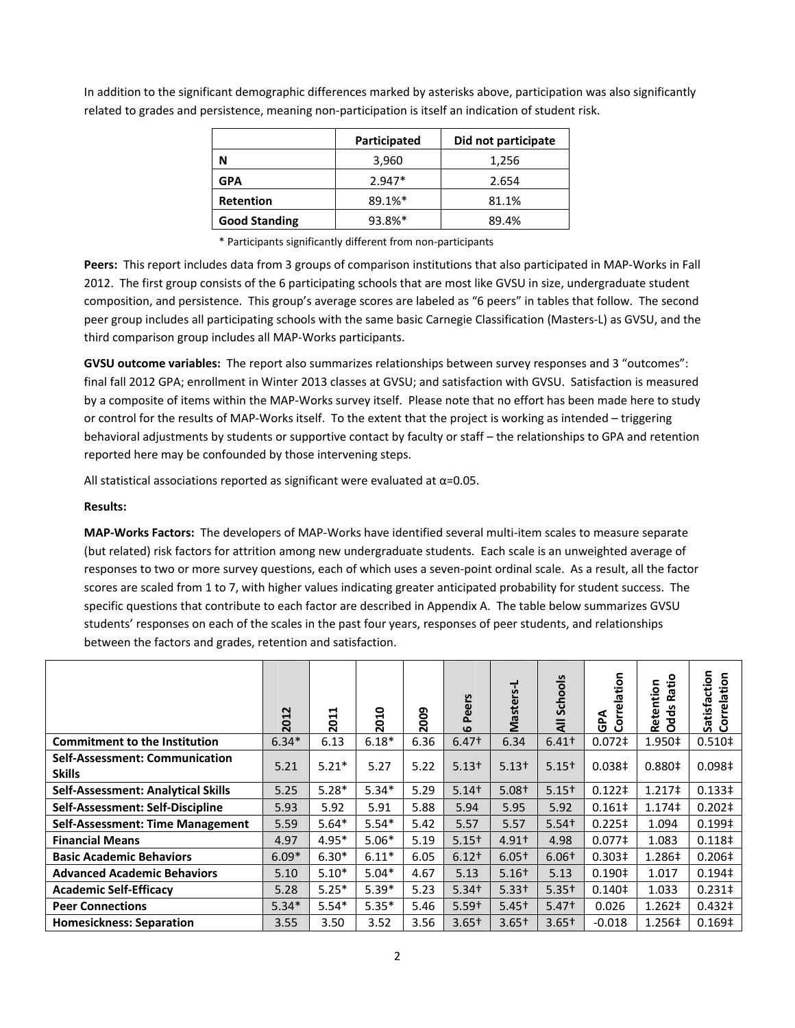|                      | Participated | Did not participate |  |  |  |
|----------------------|--------------|---------------------|--|--|--|
| N                    | 3,960        | 1,256               |  |  |  |
| <b>GPA</b>           | $2.947*$     | 2.654               |  |  |  |
| <b>Retention</b>     | 89.1%*       | 81.1%               |  |  |  |
| <b>Good Standing</b> | 93.8%*       | 89.4%               |  |  |  |

In addition to the significant demographic differences marked by asterisks above, participation was also significantly related to grades and persistence, meaning non‐participation is itself an indication of student risk.

\* Participants significantly different from non‐participants

Peers: This report includes data from 3 groups of comparison institutions that also participated in MAP-Works in Fall 2012. The first group consists of the 6 participating schools that are most like GVSU in size, undergraduate student composition, and persistence. This group's average scores are labeled as "6 peers" in tables that follow. The second peer group includes all participating schools with the same basic Carnegie Classification (Masters‐L) as GVSU, and the third comparison group includes all MAP‐Works participants.

**GVSU outcome variables:** The report also summarizes relationships between survey responses and 3 "outcomes": final fall 2012 GPA; enrollment in Winter 2013 classes at GVSU; and satisfaction with GVSU. Satisfaction is measured by a composite of items within the MAP‐Works survey itself. Please note that no effort has been made here to study or control for the results of MAP‐Works itself. To the extent that the project is working as intended – triggering behavioral adjustments by students or supportive contact by faculty or staff – the relationships to GPA and retention reported here may be confounded by those intervening steps.

All statistical associations reported as significant were evaluated at  $\alpha$ =0.05.

## **Results:**

**MAP‐Works Factors:** The developers of MAP‐Works have identified several multi‐item scales to measure separate (but related) risk factors for attrition among new undergraduate students. Each scale is an unweighted average of responses to two or more survey questions, each of which uses a seven-point ordinal scale. As a result, all the factor scores are scaled from 1 to 7, with higher values indicating greater anticipated probability for student success. The specific questions that contribute to each factor are described in Appendix A. The table below summarizes GVSU students' responses on each of the scales in the past four years, responses of peer students, and relationships between the factors and grades, retention and satisfaction.

|                                                        | 2012    | ⊣<br>⊣<br>$\overline{5}$ | 2010    | 2009 | eers<br>õ.<br>$\omega$ | Masters-L         | Schools<br>₹      | Correlation<br>GPA | Ratio<br>Retention<br><b>Odds</b> | Satisfaction<br>Correlation |
|--------------------------------------------------------|---------|--------------------------|---------|------|------------------------|-------------------|-------------------|--------------------|-----------------------------------|-----------------------------|
| <b>Commitment to the Institution</b>                   | $6.34*$ | 6.13                     | $6.18*$ | 6.36 | $6.47+$                | 6.34              | 6.41 <sup>†</sup> | $0.072$ ‡          | 1.950‡                            | 0.510 <sup>‡</sup>          |
| <b>Self-Assessment: Communication</b><br><b>Skills</b> | 5.21    | $5.21*$                  | 5.27    | 5.22 | $5.13+$                | $5.13+$           | $5.15+$           | 0.038 <sup>‡</sup> | 0.880 <sup>‡</sup>                | 0.098 <sup>‡</sup>          |
| <b>Self-Assessment: Analytical Skills</b>              | 5.25    | $5.28*$                  | $5.34*$ | 5.29 | $5.14+$                | $5.08+$           | $5.15+$           | $0.122 \ddagger$   | 1.217 <sup>‡</sup>                | 0.133 <sup>‡</sup>          |
| Self-Assessment: Self-Discipline                       | 5.93    | 5.92                     | 5.91    | 5.88 | 5.94                   | 5.95              | 5.92              | $0.161 \dagger$    | 1.174‡                            | $0.202 \ddagger$            |
| <b>Self-Assessment: Time Management</b>                | 5.59    | $5.64*$                  | $5.54*$ | 5.42 | 5.57                   | 5.57              | $5.54+$           | $0.225 \pm$        | 1.094                             | 0.199‡                      |
| <b>Financial Means</b>                                 | 4.97    | $4.95*$                  | $5.06*$ | 5.19 | $5.15+$                | $4.91+$           | 4.98              | 0.077 <sup>‡</sup> | 1.083                             | 0.118 <sup>‡</sup>          |
| <b>Basic Academic Behaviors</b>                        | $6.09*$ | $6.30*$                  | $6.11*$ | 6.05 | $6.12+$                | $6.05+$           | $6.06+$           | 0.303 <sup>‡</sup> | 1.286‡                            | $0.206 \pm$                 |
| <b>Advanced Academic Behaviors</b>                     | 5.10    | $5.10*$                  | $5.04*$ | 4.67 | 5.13                   | $5.16+$           | 5.13              | 0.190 <sup>‡</sup> | 1.017                             | 0.194‡                      |
| <b>Academic Self-Efficacy</b>                          | 5.28    | $5.25*$                  | $5.39*$ | 5.23 | $5.34+$                | 5.33 <sup>†</sup> | $5.35+$           | 0.140 <sup>‡</sup> | 1.033                             | $0.231 \pm$                 |
| <b>Peer Connections</b>                                | $5.34*$ | $5.54*$                  | $5.35*$ | 5.46 | $5.59+$                | $5.45+$           | $5.47+$           | 0.026              | 1.262‡                            | 0.432 <sup>‡</sup>          |
| <b>Homesickness: Separation</b>                        | 3.55    | 3.50                     | 3.52    | 3.56 | $3.65+$                | $3.65+$           | $3.65+$           | $-0.018$           | 1.256‡                            | 0.169 <sup>‡</sup>          |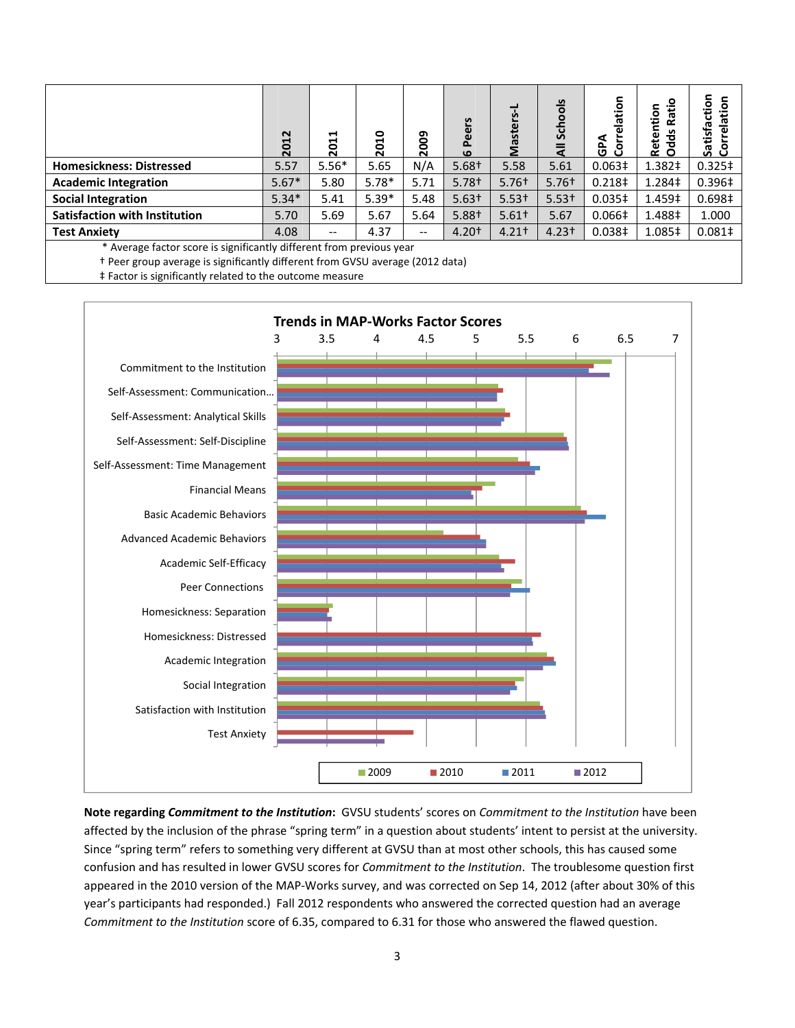|                                                                    | 2012    | ⊣<br>↽<br>ö<br>$\overline{\mathbf{N}}$ | 2010    | 2009                     | eers<br>۵ī<br>$\mathbf{o}$ | ë<br>Mast | $rac{5}{2}$<br>ន | lation<br>GPA<br>ပိ | o<br>ntion<br>Rati<br><b>Odds</b><br>Reter | Satisfaction<br>Correlation<br>Īã |
|--------------------------------------------------------------------|---------|----------------------------------------|---------|--------------------------|----------------------------|-----------|------------------|---------------------|--------------------------------------------|-----------------------------------|
| <b>Homesickness: Distressed</b>                                    | 5.57    | $5.56*$                                | 5.65    | N/A                      | $5.68+$                    | 5.58      | 5.61             | 0.063 <sup>‡</sup>  | 1.382‡                                     | $0.325 \ddagger$                  |
| <b>Academic Integration</b>                                        | $5.67*$ | 5.80                                   | $5.78*$ | 5.71                     | $5.78+$                    | $5.76+$   | $5.76+$          | 0.218 <sup>‡</sup>  | 1.284‡                                     | 0.396‡                            |
| <b>Social Integration</b>                                          | $5.34*$ | 5.41                                   | $5.39*$ | 5.48                     | $5.63+$                    | $5.53+$   | $5.53+$          | 0.035 <sup>‡</sup>  | 1.459‡                                     | 0.698 <sup>‡</sup>                |
| <b>Satisfaction with Institution</b>                               | 5.70    | 5.69                                   | 5.67    | 5.64                     | 5.88+                      | $5.61+$   | 5.67             | $0.066\pm$          | 1.488‡                                     | 1.000                             |
| <b>Test Anxiety</b>                                                | 4.08    | $- -$                                  | 4.37    | $\overline{\phantom{a}}$ | $4.20+$                    | $4.21+$   | $4.23 +$         | 0.038 <sup>‡</sup>  | 1.085‡                                     | $0.081 \dagger$                   |
| Average factor score is significantly different from previous year |         |                                        |         |                          |                            |           |                  |                     |                                            |                                   |

† Peer group average is significantly different from GVSU average (2012 data)

‡ Factor is significantly related to the outcome measure



**Note regarding** *Commitment to the Institution***:** GVSU students' scores on *Commitment to the Institution* have been affected by the inclusion of the phrase "spring term" in a question about students' intent to persist at the university. Since "spring term" refers to something very different at GVSU than at most other schools, this has caused some confusion and has resulted in lower GVSU scores for *Commitment to the Institution*. The troublesome question first appeared in the 2010 version of the MAP‐Works survey, and was corrected on Sep 14, 2012 (after about 30% of this year's participants had responded.) Fall 2012 respondents who answered the corrected question had an average *Commitment to the Institution* score of 6.35, compared to 6.31 for those who answered the flawed question.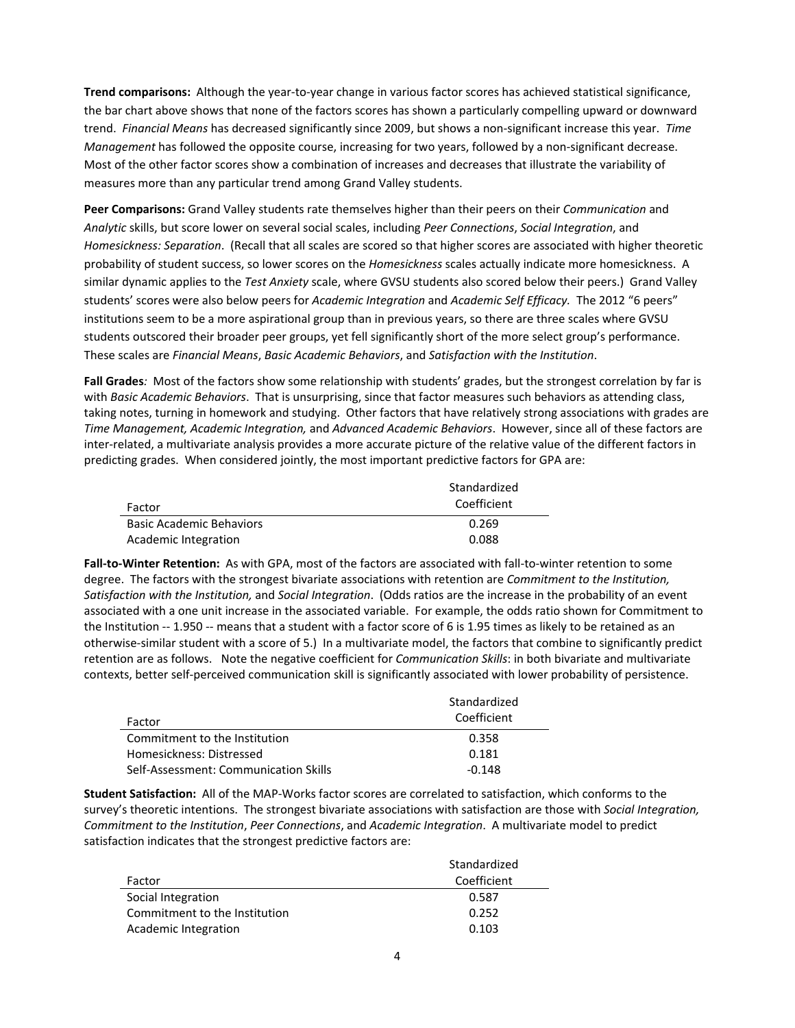**Trend comparisons:** Although the year‐to‐year change in various factor scores has achieved statistical significance, the bar chart above shows that none of the factors scores has shown a particularly compelling upward or downward trend. *Financial Means* has decreased significantly since 2009, but shows a non‐significant increase this year. *Time Management* has followed the opposite course, increasing for two years, followed by a non‐significant decrease. Most of the other factor scores show a combination of increases and decreases that illustrate the variability of measures more than any particular trend among Grand Valley students.

**Peer Comparisons:** Grand Valley students rate themselves higher than their peers on their *Communication* and *Analytic* skills, but score lower on several social scales, including *Peer Connections*, *Social Integration*, and *Homesickness: Separation*. (Recall that all scales are scored so that higher scores are associated with higher theoretic probability of student success, so lower scores on the *Homesickness* scales actually indicate more homesickness. A similar dynamic applies to the *Test Anxiety* scale, where GVSU students also scored below their peers.) Grand Valley students' scores were also below peers for *Academic Integration* and *Academic Self Efficacy.* The 2012 "6 peers" institutions seem to be a more aspirational group than in previous years, so there are three scales where GVSU students outscored their broader peer groups, yet fell significantly short of the more select group's performance. These scales are *Financial Means*, *Basic Academic Behaviors*, and *Satisfaction with the Institution*.

**Fall Grades***:* Most of the factors show some relationship with students' grades, but the strongest correlation by far is with *Basic Academic Behaviors*. That is unsurprising, since that factor measures such behaviors as attending class, taking notes, turning in homework and studying. Other factors that have relatively strong associations with grades are *Time Management, Academic Integration,* and *Advanced Academic Behaviors*. However, since all of these factors are inter‐related, a multivariate analysis provides a more accurate picture of the relative value of the different factors in predicting grades. When considered jointly, the most important predictive factors for GPA are:

|                                 | Standardized |  |  |  |  |
|---------------------------------|--------------|--|--|--|--|
| Factor                          | Coefficient  |  |  |  |  |
| <b>Basic Academic Behaviors</b> | 0.269        |  |  |  |  |
| Academic Integration            | 0.088        |  |  |  |  |

**Fall‐to‐Winter Retention:** As with GPA, most of the factors are associated with fall‐to‐winter retention to some degree. The factors with the strongest bivariate associations with retention are *Commitment to the Institution, Satisfaction with the Institution,* and *Social Integration*. (Odds ratios are the increase in the probability of an event associated with a one unit increase in the associated variable. For example, the odds ratio shown for Commitment to the Institution -- 1.950 -- means that a student with a factor score of 6 is 1.95 times as likely to be retained as an otherwise‐similar student with a score of 5.) In a multivariate model, the factors that combine to significantly predict retention are as follows. Note the negative coefficient for *Communication Skills*: in both bivariate and multivariate contexts, better self‐perceived communication skill is significantly associated with lower probability of persistence.

|                                       | Standardized |
|---------------------------------------|--------------|
| Factor                                | Coefficient  |
| Commitment to the Institution         | 0.358        |
| Homesickness: Distressed              | 0.181        |
| Self-Assessment: Communication Skills | $-0.148$     |

**Student Satisfaction:** All of the MAP‐Works factor scores are correlated to satisfaction, which conforms to the survey's theoretic intentions. The strongest bivariate associations with satisfaction are those with *Social Integration, Commitment to the Institution*, *Peer Connections*, and *Academic Integration*. A multivariate model to predict satisfaction indicates that the strongest predictive factors are:

|                               | Standardized |
|-------------------------------|--------------|
| Factor                        | Coefficient  |
| Social Integration            | 0.587        |
| Commitment to the Institution | 0.252        |
| Academic Integration          | 0.103        |